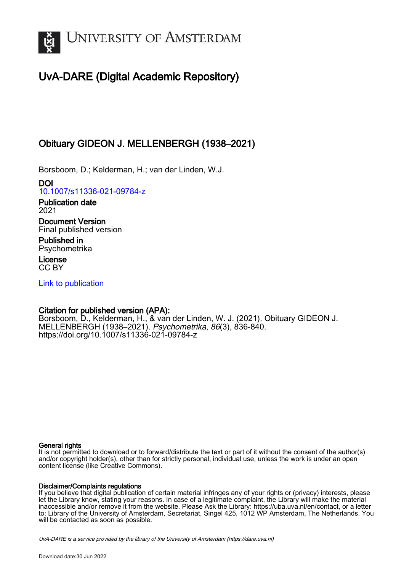

# UvA-DARE (Digital Academic Repository)

## Obituary GIDEON J. MELLENBERGH (1938–2021)

Borsboom, D.; Kelderman, H.; van der Linden, W.J.

DOI [10.1007/s11336-021-09784-z](https://doi.org/10.1007/s11336-021-09784-z)

Publication date 2021

Document Version Final published version

Published in Psychometrika

License CC BY

[Link to publication](https://dare.uva.nl/personal/pure/en/publications/obituary-gideon-j-mellenbergh-19382021(0ec4e08f-4069-44b2-ae33-52622d13476d).html)

## Citation for published version (APA):

Borsboom, D., Kelderman, H., & van der Linden, W. J. (2021). Obituary GIDEON J. MELLENBERGH (1938–2021). Psychometrika, 86(3), 836-840. <https://doi.org/10.1007/s11336-021-09784-z>

## General rights

It is not permitted to download or to forward/distribute the text or part of it without the consent of the author(s) and/or copyright holder(s), other than for strictly personal, individual use, unless the work is under an open content license (like Creative Commons).

## Disclaimer/Complaints regulations

If you believe that digital publication of certain material infringes any of your rights or (privacy) interests, please let the Library know, stating your reasons. In case of a legitimate complaint, the Library will make the material inaccessible and/or remove it from the website. Please Ask the Library: https://uba.uva.nl/en/contact, or a letter to: Library of the University of Amsterdam, Secretariat, Singel 425, 1012 WP Amsterdam, The Netherlands. You will be contacted as soon as possible.

UvA-DARE is a service provided by the library of the University of Amsterdam (http*s*://dare.uva.nl)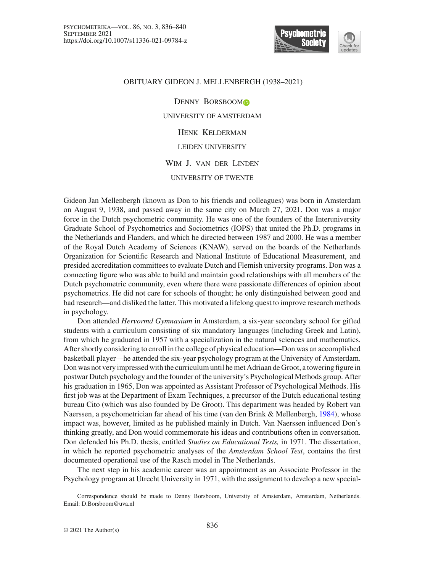

### OBITUARY GIDEON J. MELLENBERGH (1938–2021)

DENNY BORSBOOM<sup>O</sup> UNIVERSITY OF AMSTERDAM Henk Kelderman LEIDEN UNIVERSITY Wim J. van der Linden UNIVERSITY OF TWENTE

Gideon Jan Mellenbergh (known as Don to his friends and colleagues) was born in Amsterdam on August 9, 1938, and passed away in the same city on March 27, 2021. Don was a major force in the Dutch psychometric community. He was one of the founders of the Interuniversity Graduate School of Psychometrics and Sociometrics (IOPS) that united the Ph.D. programs in the Netherlands and Flanders, and which he directed between 1987 and 2000. He was a member of the Royal Dutch Academy of Sciences (KNAW), served on the boards of the Netherlands Organization for Scientific Research and National Institute of Educational Measurement, and presided accreditation committees to evaluate Dutch and Flemish university programs. Don was a connecting figure who was able to build and maintain good relationships with all members of the Dutch psychometric community, even where there were passionate differences of opinion about psychometrics. He did not care for schools of thought; he only distinguished between good and bad research—and disliked the latter. This motivated a lifelong quest to improve research methods in psychology.

Don attended *Hervormd Gymnasium* in Amsterdam, a six-year secondary school for gifted students with a curriculum consisting of six mandatory languages (including Greek and Latin), from which he graduated in 1957 with a specialization in the natural sciences and mathematics. After shortly considering to enroll in the college of physical education—Don was an accomplished basketball player—he attended the six-year psychology program at the University of Amsterdam. Don was not very impressed with the curriculum until he met Adriaan de Groot, a towering figure in postwar Dutch psychology and the founder of the university's Psychological Methods group. After his graduation in 1965, Don was appointed as Assistant Professor of Psychological Methods. His first job was at the Department of Exam Techniques, a precursor of the Dutch educational testing bureau Cito (which was also founded by De Groot). This department was headed by Robert van Naerssen, a psychometrician far ahead of his time (van den Brink & Mellenbergh, [1984\)](#page-5-0), whose impact was, however, limited as he published mainly in Dutch. Van Naerssen influenced Don's thinking greatly, and Don would commemorate his ideas and contributions often in conversation. Don defended his Ph.D. thesis, entitled *Studies on Educational Tests,* in 1971. The dissertation, in which he reported psychometric analyses of the *Amsterdam School Test*, contains the first documented operational use of the Rasch model in The Netherlands.

The next step in his academic career was an appointment as an Associate Professor in the Psychology program at Utrecht University in 1971, with the assignment to develop a new special-

Correspondence should be made to Denny Borsboom, University of Amsterdam, Amsterdam, Netherlands. Email: D.Borsboom@uva.nl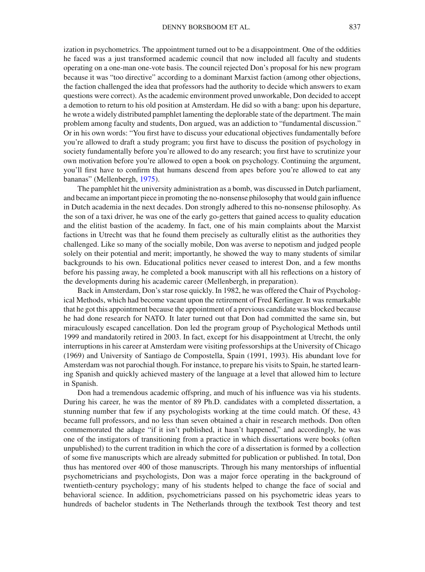ization in psychometrics. The appointment turned out to be a disappointment. One of the oddities he faced was a just transformed academic council that now included all faculty and students operating on a one-man one-vote basis. The council rejected Don's proposal for his new program because it was "too directive" according to a dominant Marxist faction (among other objections, the faction challenged the idea that professors had the authority to decide which answers to exam questions were correct). As the academic environment proved unworkable, Don decided to accept a demotion to return to his old position at Amsterdam. He did so with a bang: upon his departure, he wrote a widely distributed pamphlet lamenting the deplorable state of the department. The main problem among faculty and students, Don argued, was an addiction to "fundamental discussion." Or in his own words: "You first have to discuss your educational objectives fundamentally before you're allowed to draft a study program; you first have to discuss the position of psychology in society fundamentally before you're allowed to do any research; you first have to scrutinize your own motivation before you're allowed to open a book on psychology. Continuing the argument, you'll first have to confirm that humans descend from apes before you're allowed to eat any bananas" (Mellenbergh, [1975\)](#page-4-0).

The pamphlet hit the university administration as a bomb, was discussed in Dutch parliament, and became an important piece in promoting the no-nonsense philosophy that would gain influence in Dutch academia in the next decades. Don strongly adhered to this no-nonsense philosophy. As the son of a taxi driver, he was one of the early go-getters that gained access to quality education and the elitist bastion of the academy. In fact, one of his main complaints about the Marxist factions in Utrecht was that he found them precisely as culturally elitist as the authorities they challenged. Like so many of the socially mobile, Don was averse to nepotism and judged people solely on their potential and merit; importantly, he showed the way to many students of similar backgrounds to his own. Educational politics never ceased to interest Don, and a few months before his passing away, he completed a book manuscript with all his reflections on a history of the developments during his academic career (Mellenbergh, in preparation).

Back in Amsterdam, Don's star rose quickly. In 1982, he was offered the Chair of Psychological Methods, which had become vacant upon the retirement of Fred Kerlinger. It was remarkable that he got this appointment because the appointment of a previous candidate was blocked because he had done research for NATO. It later turned out that Don had committed the same sin, but miraculously escaped cancellation. Don led the program group of Psychological Methods until 1999 and mandatorily retired in 2003. In fact, except for his disappointment at Utrecht, the only interruptions in his career at Amsterdam were visiting professorships at the University of Chicago (1969) and University of Santiago de Compostella, Spain (1991, 1993). His abundant love for Amsterdam was not parochial though. For instance, to prepare his visits to Spain, he started learning Spanish and quickly achieved mastery of the language at a level that allowed him to lecture in Spanish.

Don had a tremendous academic offspring, and much of his influence was via his students. During his career, he was the mentor of 89 Ph.D. candidates with a completed dissertation, a stunning number that few if any psychologists working at the time could match. Of these, 43 became full professors, and no less than seven obtained a chair in research methods. Don often commemorated the adage "if it isn't published, it hasn't happened," and accordingly, he was one of the instigators of transitioning from a practice in which dissertations were books (often unpublished) to the current tradition in which the core of a dissertation is formed by a collection of some five manuscripts which are already submitted for publication or published. In total, Don thus has mentored over 400 of those manuscripts. Through his many mentorships of influential psychometricians and psychologists, Don was a major force operating in the background of twentieth-century psychology; many of his students helped to change the face of social and behavioral science. In addition, psychometricians passed on his psychometric ideas years to hundreds of bachelor students in The Netherlands through the textbook Test theory and test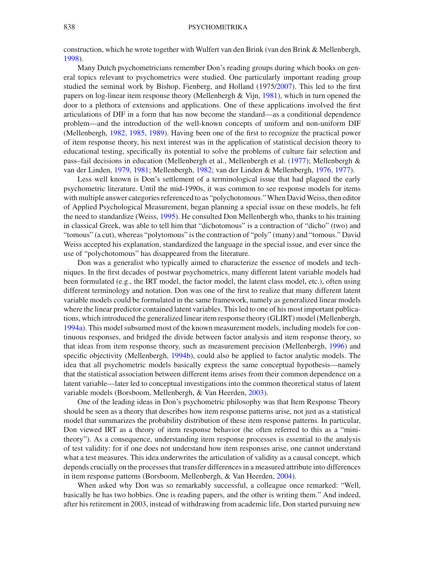#### 838 PSYCHOMETRIKA

construction, which he wrote together with Wulfert van den Brink (van den Brink & Mellenbergh, [1998\)](#page-5-1).

Many Dutch psychometricians remember Don's reading groups during which books on general topics relevant to psychometrics were studied. One particularly important reading group studied the seminal work by Bishop, Fienberg, and Holland (1975[/2007](#page-4-1)). This led to the first papers on log-linear item response theory (Mellenbergh & Vijn, [1981\)](#page-4-2), which in turn opened the door to a plethora of extensions and applications. One of these applications involved the first articulations of DIF in a form that has now become the standard—as a conditional dependence problem—and the introduction of the well-known concepts of uniform and non-uniform DIF (Mellenbergh, [1982](#page-4-3), [1985](#page-4-4), [1989\)](#page-4-5). Having been one of the first to recognize the practical power of item response theory, his next interest was in the application of statistical decision theory to educational testing, specifically its potential to solve the problems of culture fair selection and pass–fail decisions in education (Mellenbergh et al., Mellenbergh et al[.](#page-4-6) [\(1977](#page-4-6)); Mellenbergh & van der Linden, [1979,](#page-4-7) [1981;](#page-4-8) Mellenbergh, [1982;](#page-4-3) van der Linden & Mellenbergh, [1976](#page-5-2), [1977](#page-5-3)).

Less well known is Don's settlement of a terminological issue that had plagued the early psychometric literature. Until the mid-1990s, it was common to see response models for items with multiple answer categories referenced to as "polychotomous." When David Weiss, then editor of Applied Psychological Measurement, began planning a special issue on these models, he felt the need to standardize (Weiss, [1995\)](#page-5-4). He consulted Don Mellenbergh who, thanks to his training in classical Greek, was able to tell him that "dichotomous" is a contraction of "dicho" (two) and "tomous" (a cut), whereas "polytomous" is the contraction of "poly" (many) and "tomous." David Weiss accepted his explanation, standardized the language in the special issue, and ever since the use of "polychotomous" has disappeared from the literature.

Don was a generalist who typically aimed to characterize the essence of models and techniques. In the first decades of postwar psychometrics, many different latent variable models had been formulated (e.g., the IRT model, the factor model, the latent class model, etc.), often using different terminology and notation. Don was one of the first to realize that many different latent variable models could be formulated in the same framework, namely as generalized linear models where the linear predictor contained latent variables. This led to one of his most important publications, which introduced the generalized linear item response theory (GLIRT) model (Mellenbergh, [1994a](#page-4-9)). This model subsumed most of the known measurement models, including models for continuous responses, and bridged the divide between factor analysis and item response theory, so that ideas from item response theory, such as measurement precision (Mellenbergh, [1996\)](#page-4-10) and specific objectivity (Mellenbergh, [1994b](#page-4-11)), could also be applied to factor analytic models. The idea that all psychometric models basically express the same conceptual hypothesis—namely that the statistical association between different items arises from their common dependence on a latent variable—later led to conceptual investigations into the common theoretical status of latent variable models (Borsboom, Mellenbergh, & Van Heerden, [2003\)](#page-4-12).

One of the leading ideas in Don's psychometric philosophy was that Item Response Theory should be seen as a theory that describes how item response patterns arise, not just as a statistical model that summarizes the probability distribution of these item response patterns. In particular, Don viewed IRT as a theory of item response behavior (he often referred to this as a "minitheory"). As a consequence, understanding item response processes is essential to the analysis of test validity: for if one does not understand how item responses arise, one cannot understand what a test measures. This idea underwrites the articulation of validity as a causal concept, which depends crucially on the processes that transfer differences in a measured attribute into differences in item response patterns (Borsboom, Mellenbergh, & Van Heerden, [2004](#page-4-13)).

When asked why Don was so remarkably successful, a colleague once remarked: "Well, basically he has two hobbies. One is reading papers, and the other is writing them." And indeed, after his retirement in 2003, instead of withdrawing from academic life, Don started pursuing new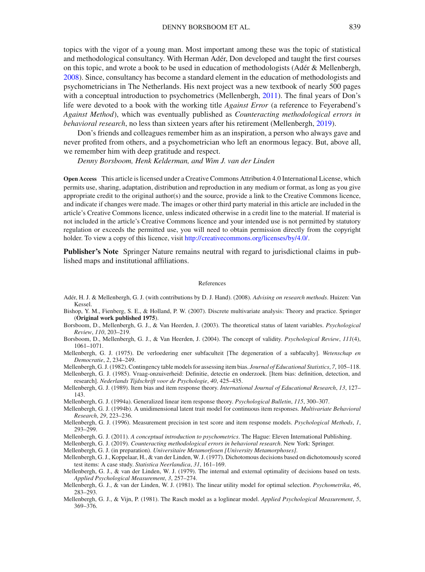topics with the vigor of a young man. Most important among these was the topic of statistical and methodological consultancy. With Herman Adér, Don developed and taught the first courses on this topic, and wrote a book to be used in education of methodologists (Adér & Mellenbergh, [2008\)](#page-4-14). Since, consultancy has become a standard element in the education of methodologists and psychometricians in The Netherlands. His next project was a new textbook of nearly 500 pages with a conceptual introduction to psychometrics (Mellenbergh, [2011\)](#page-4-15). The final years of Don's life were devoted to a book with the working title *Against Error* (a reference to Feyerabend's *Against Method*), which was eventually published as *Counteracting methodological errors in behavioral research*, no less than sixteen years after his retirement (Mellenbergh, [2019](#page-4-16)).

Don's friends and colleagues remember him as an inspiration, a person who always gave and never profited from others, and a psychometrician who left an enormous legacy. But, above all, we remember him with deep gratitude and respect.

*Denny Borsboom, Henk Kelderman, and Wim J. van der Linden*

**Open Access** This article is licensed under a Creative Commons Attribution 4.0 International License, which permits use, sharing, adaptation, distribution and reproduction in any medium or format, as long as you give appropriate credit to the original author(s) and the source, provide a link to the Creative Commons licence, and indicate if changes were made. The images or other third party material in this article are included in the article's Creative Commons licence, unless indicated otherwise in a credit line to the material. If material is not included in the article's Creative Commons licence and your intended use is not permitted by statutory regulation or exceeds the permitted use, you will need to obtain permission directly from the copyright holder. To view a copy of this licence, visit [http://creativecommons.org/licenses/by/4.0/.](http://creativecommons.org/licenses/by/4.0/)

**Publisher's Note** Springer Nature remains neutral with regard to jurisdictional claims in published maps and institutional affiliations.

#### References

- <span id="page-4-14"></span>Adér, H. J. & Mellenbergh, G. J. (with contributions by D. J. Hand). (2008). *Advising on research methods*. Huizen: Van Kessel.
- <span id="page-4-1"></span>Bishop, Y. M., Fienberg, S. E., & Holland, P. W. (2007). Discrete multivariate analysis: Theory and practice. Springer (**Original work published 1975**).
- <span id="page-4-12"></span>Borsboom, D., Mellenbergh, G. J., & Van Heerden, J. (2003). The theoretical status of latent variables. *Psychological Review*, *110*, 203–219.
- <span id="page-4-13"></span>Borsboom, D., Mellenbergh, G. J., & Van Heerden, J. (2004). The concept of validity. *Psychological Review*, *111*(4), 1061–1071.
- <span id="page-4-0"></span>Mellenbergh, G. J. (1975). De verloedering ener subfaculteit [The degeneration of a subfaculty]. *Wetenschap en Democratie*, *2*, 234–249.
- <span id="page-4-3"></span>Mellenbergh, G. J. (1982). Contingency table models for assessing item bias. *Journal of Educational Statistics*, *7*, 105–118.
- <span id="page-4-4"></span>Mellenbergh, G. J. (1985). Vraag-onzuiverheid: Definitie, detectie en onderzoek. [Item bias: definition, detection, and research]. *Nederlands Tijdschrift voor de Psychologie*, *40*, 425–435.
- <span id="page-4-5"></span>Mellenbergh, G. J. (1989). Item bias and item response theory. *International Journal of Educational Research*, *13*, 127– 143.
- <span id="page-4-9"></span>Mellenbergh, G. J. (1994a). Generalized linear item response theory. *Psychological Bulletin*, *115*, 300–307.
- <span id="page-4-11"></span>Mellenbergh, G. J. (1994b). A unidimensional latent trait model for continuous item responses. *Multivariate Behavioral Research*, *29*, 223–236.
- <span id="page-4-10"></span>Mellenbergh, G. J. (1996). Measurement precision in test score and item response models. *Psychological Methods*, *1*, 293–299.
- <span id="page-4-15"></span>Mellenbergh, G. J. (2011). *A conceptual introduction to psychometrics*. The Hague: Eleven International Publishing.
- <span id="page-4-16"></span>Mellenbergh, G. J. (2019). *Counteracting methodological errors in behavioral research*. New York: Springer.

Mellenbergh, G. J. (in preparation). *Universitaire Metamorfosen [University Metamorphoses]*.

- <span id="page-4-6"></span>Mellenbergh, G. J., Koppelaar, H., & van der Linden, W. J. (1977). Dichotomous decisions based on dichotomously scored test items: A case study. *Statistica Neerlandica*, *31*, 161–169.
- <span id="page-4-7"></span>Mellenbergh, G. J., & van der Linden, W. J. (1979). The internal and external optimality of decisions based on tests. *Applied Psychological Measurement*, *3*, 257–274.
- <span id="page-4-8"></span>Mellenbergh, G. J., & van der Linden, W. J. (1981). The linear utility model for optimal selection. *Psychometrika*, *46*, 283–293.
- <span id="page-4-2"></span>Mellenbergh, G. J., & Vijn, P. (1981). The Rasch model as a loglinear model. *Applied Psychological Measurement*, *5*, 369–376.